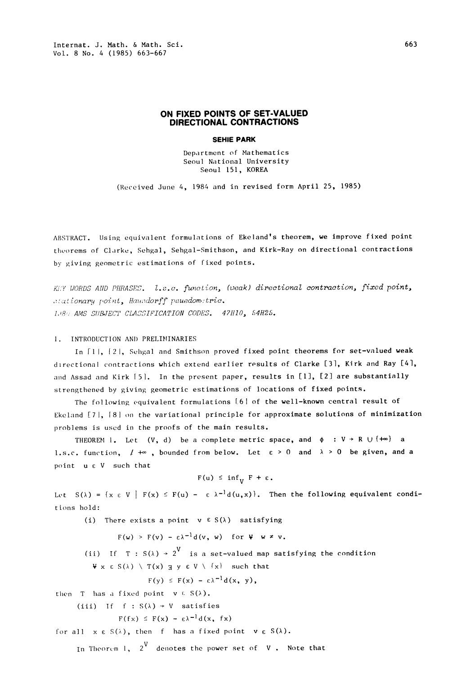## ON FIXED POINTS OF SET-VALUED DIRECTIONAL CONTRACTIONS

## SEHIE PARK

Department of Mathematics Seou| National University Seoul 151, KOREA

(Received June 4, 1984 and in revised form April 25, 1985)

ABSTRACT. Using equivalent formulations of Ekeland's theorem, we improve fixed point theorems of Clarke, Sehgal, Sehgal-Smithson, and Kirk-Ray on directional contractions by giving geometric estimations of fixed points.

KIY WORDS AND PHRASES. L.s.c. function, (weak) directional contraction, fixed point, .: ationary point, Hausdorff psuedometric. 1.8% AMS SUBJECT CLASSIFICATION CODES. 47H10, 54H25.

## 1. INTRODUCTION AND PRELIMINARIES

In [1], [2], Sehgal and Smithson proved fixed point theorems for set-valued weak directional contractions which extend earlier results of Clarke [3], Kirk and Ray [4], and Assad and Kirk [5]. In the present paper, results in [1], [2] are substantially strengthened by giving geometric estimations of locations of fixed points.

The following equivalent formulations [6] of the well-known central result of Ekeland  $[7]$ ,  $[8]$  on the variational principle for approximate solutions of minimization problems is used in the proofs of the main results.

THEOREM 1. Let  $(V, d)$  be a complete metric space, and  $\phi : V \rightarrow R \cup \{+\infty\}$  a 1.s.c. function,  $1 +\infty$ , bounded from below. Let  $\varepsilon > 0$  and  $\lambda > 0$  be given, and a point  $u \in V$  such that

$$
F(u) \leq inf_{V} F + \varepsilon.
$$

Let  $S(\lambda) = \{x \in V \mid F(x) \leq F(u) - \epsilon \lambda^{-1}d(u,x)\}\$ . Then the following equivalent conditions hold:

(i) There exists a point  $v \in S(\lambda)$  satisfying

 $F(w) > F(v) - \epsilon \lambda^{-1} d(v, w)$  for  $V \times v$ .

(ii) If T : S( $\lambda$ )  $\rightarrow$  2  $^{V}$  is a set-valued map satisfying the condition

 $\Psi$  x  $\in S(\lambda)$   $\setminus$  T(x)  $\exists y \in V \setminus \{x\}$  such that

$$
F(y) \leq F(x) - \varepsilon \lambda^{-1} d(x, y),
$$

then T has a fixed point  $v \in S(\lambda)$ .

(iii) If  $f : S(\lambda) \rightarrow V$  satisfies

 $F(fx) \leq F(x) - \epsilon \lambda^{-1} d(x, fx)$ 

for all  $x \in S(\lambda)$ , then f has a fixed point  $v \in S(\lambda)$ .

In Theorem 1,  $\begin{pmatrix} 2^{\mathsf{V}} & \text{denotes the power set of } & \mathsf{V} \end{pmatrix}$  . Note that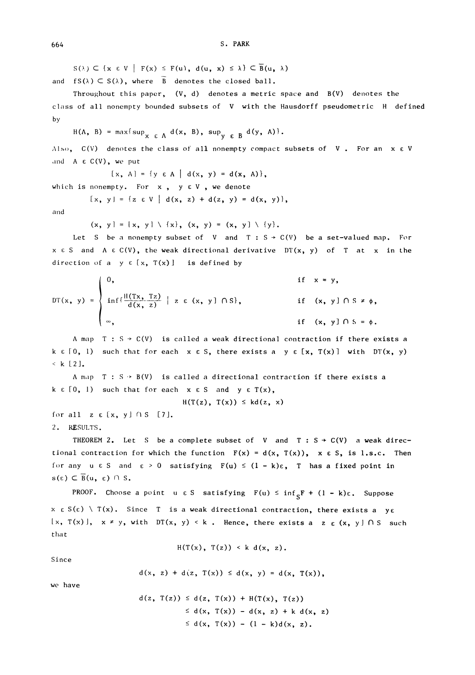$S(\lambda) \subset \{x \in V \mid F(x) \leq F(u), d(u, x) \leq \lambda\} \subset \overline{B}(u, \lambda)$ 

and  $fS(\lambda) \subset S(\lambda)$ , where  $\overline{B}$  denotes the closed ball.

Throughout this paper,  $(V, d)$  denotes a metric space and  $B(V)$  denotes the class of all nonempty bounded subsets of V with the Hausdorff pseudometric H defined by

 $H(A, B) = max{sup<sub>x \in A</sub> d(x, B), sup<sub>y \in B</sub> d(y, A)}$ 

Also,  $C(V)$  denotes the class of all nonempty compact subsets of V. For an  $x \in V$ and  $A \in C(V)$ , we put

 $[x, A] = \{y \in A \mid d(x, y) = d(x, A)\},$ 

which is nonempty. For  $x, y \in V$ , we denote

 $[x, y] = \{z \in V \mid d(x, z) + d(z, y) = d(x, y)\},$ 

and

 $(x, y) = \{x, y\} \setminus \{x\}, (x, y) = (x, y) \setminus \{y\}.$ 

Let S be a nonempty subset of V and T :  $S \rightarrow C(V)$  be a set-valued map. For  $x \in S$  and  $A \in C(V)$ , the weak directional derivative  $DT(x, y)$  of T at x in the direction of a  $y \in [x, T(x)]$  is defined by

$$
DT(x, y) = \begin{cases} 0, & \text{if } x = y, \\ \inf\{\frac{H(Tx, Tz)}{d(x, z)} \mid z \in (x, y] \cap S\}, & \text{if } (x, y] \cap S \neq \phi, \\ \infty, & \text{if } (x, y] \cap S = \phi. \end{cases}
$$

A map  $T : S \rightarrow C(V)$  is called a weak directional contraction if there exists a k  $\epsilon$  [0, 1) such that for each  $x \in S$ , there exists a  $y \in [x, T(x)]$  with  $DT(x, y)$  $k$  [2].

A map  $T : S \rightarrow B(V)$  is called a directional contraction if there exists a  $k \in [0, 1)$  such that for each  $x \in S$  and  $y \in T(x)$ ,

 $H(T(z), T(x)) \leq k d(z, x)$ 

for all  $z \in [x, y] \cap S$  [7].

2. RESULTS.

THEOREM 2. Let S be a complete subset of V and  $T : S \rightarrow C(V)$  a weak directional contraction for which the function  $F(x) = d(x, T(x))$ ,  $x \in S$ , is 1.s.c. Then for any  $u \in S$  and  $\varepsilon > 0$  satisfying  $F(u) \leq (1 - k)\varepsilon$ , T has a fixed point in  $s(\epsilon) \subset \overline{B}(u, \epsilon) \cap S$ .

PROOF. Choose a point u  $\epsilon$  S satisfying  $F(u) \le inf_{S}F + (1 - k)\epsilon$ . Suppose  $x \in S(\epsilon) \setminus T(x)$ . Since T is a weak directional contraction, there exists a ye  $[x, T(x)], x \neq y$ , with DT(x, y) < k. Hence, there exists a z  $\epsilon$  (x, y) OS such that

 $H(T(x), T(z)) < k d(x, z).$ 

Since

 $d(x, z) + d(z, T(x)) \leq d(x, y) = d(x, T(x)),$ 

we have

$$
d(z, T(z)) \leq d(z, T(x)) + H(T(x), T(z))
$$
  
\n
$$
\leq d(x, T(x)) - d(x, z) + k d(x, z)
$$
  
\n
$$
\leq d(x, T(x)) - (1 - k)d(x, z).
$$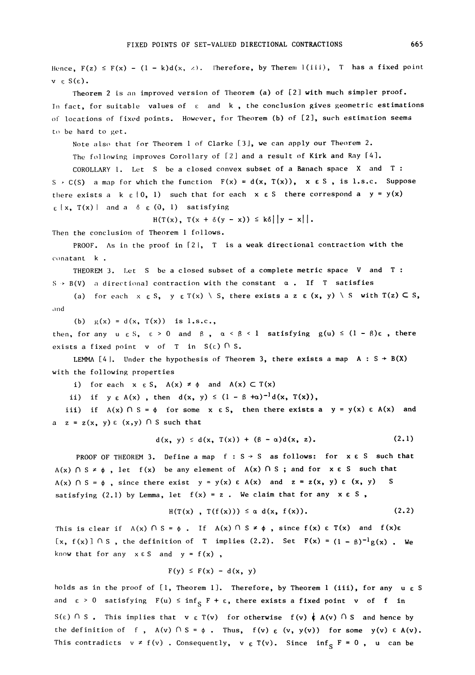Hence,  $F(z) \leq F(x) - (1 - k)d(x, \lambda)$ . Therefore, by Therem 1(iii), T has a fixed point .<br>v ε S(ε). Theorem 2 is an improved version of Theorem (a) of [2] with much simpler proof. In fact, for suitable values of  $\varepsilon$  and  $k$ , the conclusion gives geometric estimations of locations of fixed points. However, for Theorem (b) of [2], such estimation seems to be hard to get. Note also that for Theorem 1 of Clarke [3], we can apply our Theorem 2. The following improves Corollary of [2] and a result of Kirk and Ray [4]. COROLLARY I. Let <sup>S</sup> be a closed convex subset of a Banach space X and T S  $\cdot$  C(S) a map for which the function  $F(x) = d(x, T(x))$ ,  $x \in S$ , is l.s.c. Suppose there exists a k  $\epsilon$  (0, 1) such that for each x  $\epsilon$  S there correspond a y = y(x)  $\epsilon$  [x, T(x) and a  $\delta$   $\epsilon$  (0, 1) satisfying  $H(T(x), T(x + \delta(y - x)) \leq k\delta||y - x||$ . Then the conclusion of Theorem 1 follows. PROOF. As in the proof in  $[2]$ , T is a weak directional contraction with the conatant k. THEOREM 3. Let S be a closed subset of a complete metric space V and T :  $S \rightarrow B(V)$  a directional contraction with the constant  $\alpha$ . If T satisfies (a) for each  $x \in S$ ,  $y \in T(x) \setminus S$ , there exists a z  $\varepsilon$  (x, y)  $\setminus S$  with  $T(z) \subset S$ , and. (b)  $g(x) = d(x, T(x))$  is l.s.c., then, for any  $u \in S$ ,  $\varepsilon > 0$  and  $\beta$ ,  $\alpha < \beta < 1$  satisfying  $g(u) \leq (1 - \beta)\varepsilon$ , there exists a fixed point v of T in  $S(\epsilon)$   $\cap$  S. LEMMA [4]. Under the hypothesis of Theorem 3, there exists a map  $A : S \rightarrow B(X)$ with the following properties i) for each  $x \in S$ ,  $A(x) \neq \phi$  and  $A(x) \subset T(x)$ ii) if  $y \in A(x)$ , then  $d(x, y) \leq (1 - \beta + \alpha)^{-1}d(x, T(x)),$ iii) if  $A(x) \cap S = \phi$  for some  $x \in S$ , then there exists a  $y = y(x) \in A(x)$  and  $a \quad z = z(x, y) \in (x, y) \cap S$  such that

$$
d(x, y) \leq d(x, T(x)) + (\beta - \alpha) d(x, z).
$$
 (2.1)

PROOF OF THEOREM 3. Define a map  $f : S \rightarrow S$  as follows: for  $x \in S$  such that  $A(x)$   $\cap$   $S \neq \emptyset$ , let  $f(x)$  be any element of  $A(x)$   $\cap$  S; and for  $x \in S$  such that  $A(x)$   $\cap$  S =  $\phi$ , since there exist  $y = y(x) \in A(x)$  and  $z = z(x, y) \in (x, y)$  S satisfying  $(2.1)$  by Lemma, let  $f(x) = z$ . We claim that for any  $x \in S$ ,

$$
H(T(x), T(f(x))) \leq \alpha d(x, f(x)). \qquad (2.2)
$$

This is clear if  $A(x) \cap S = \phi$ . If  $A(x) \cap S \neq \phi$ , since  $f(x) \in T(x)$  and  $f(x)\varepsilon$  $\lceil x, f(x) \rceil \cap S$ , the definition of T implies (2.2). Set  $F(x) = (1 - \beta)^{-1}g(x)$ . We know that for any  $x \in S$  and  $y = f(x)$ ,

$$
F(y) \leq F(x) - d(x, y)
$$

holds as in the proof of [1, Theorem 1]. Therefore, by Theorem 1 (iii), for any  $u \in S$ and  $\epsilon > 0$  satisfying  $F(u) \le inf_S F + \epsilon$ , there exists a fixed point  $v$  of f in  $S(\epsilon) \cap S$ . This implies that  $v \in T(v)$  for otherwise  $f(v) \notin A(v) \cap S$  and hence by the definition of f,  $A(v)$   $\cap$  S =  $\phi$ . Thus,  $f(v) \in (v, y(v))$  for some  $y(v) \in A(v)$ . This contradicts  $v \neq f(v)$  . Consequently,  $v \in T(v)$ . Since  $\inf_S F = 0$  ,  $u$  can be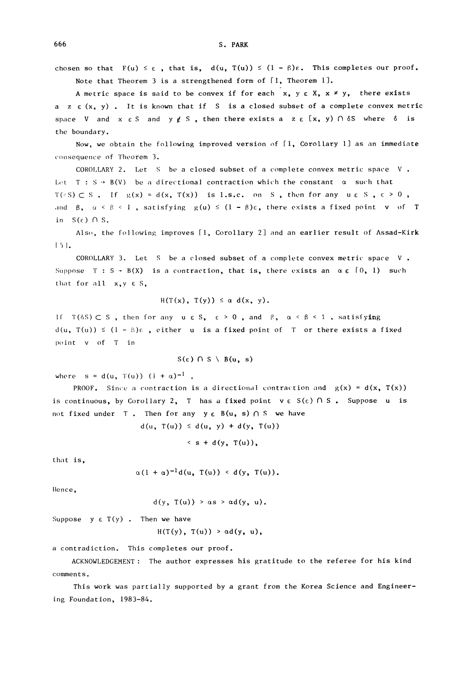chosen so that  $F(u) \le \varepsilon$ , that is,  $d(u, T(u)) \le (1 - \beta)\varepsilon$ . This completes our proof. Note that Theorem <sup>3</sup> is a strengthened form of [I, Theorem I].

A metric space is said to be convex if for each  $x, y \in X$ ,  $x \neq y$ , there exists a z  $\varepsilon$  (x, y). It is known that if S is a closed subset of a complete convex metric space V and  $x \in S$  and  $y \notin S$ , then there exists a  $z \in [x, y) \cap \delta S$  where  $\delta$  is the boundary.

Now, we obtain the following improved version of  $[1, 2]$  Corollary 1] as an immediate consequence of Theorem 3.

COROLLARY 2. Let S be a closed subset of a complete convex metric space V Let  $T : S \rightarrow B(V)$  be a directional contraction which the constant  $\alpha$  such that  $T(\cdot S) \subset S$ . If  $g(x) = d(x, T(x))$  is l.s.c. on S, then for any u c S,  $\varepsilon > 0$ , and  $\beta$ ,  $\alpha \le \beta \le 1$ , satisfying  $g(u) \le (1 - \beta)\epsilon$ , there exists a fixed point v of T in  $S(\varepsilon)$   $\cap$  S.

Also, the following improves [1, Corollary 2] and an earlier result of Assad-Kirk  $|5|$ .

COROLLARY 3. Let S be a closed subset of a complete convex metric space  $V$ . Suppose  $T : S \rightarrow B(X)$  is a contraction, that is, there exists an  $\alpha \in [0, 1)$  such that for all  $x,y \in S$ ,

$$
H(T(x), T(y)) \leq \alpha d(x, y)
$$
.

If  $T(6S) \subset S$ , then for any  $u \in S$ ,  $\varepsilon > 0$ , and  $\beta$ ,  $\alpha < \beta < 1$ , satisfying  $d(u, T(u)) \leq (1 - \beta)\varepsilon$ , either u is a fixed point of T or there exists a fixed pint v of T in

$$
S(\varepsilon) \cap S \setminus B(u, s)
$$

where  $s = d(u, T(u))$   $(i + \alpha)^{-1}$ .

**PROOF.** Since a contraction is a directional contraction and  $g(x) = d(x, T(x))$ is continuous, by Corollary 2, T has a fixed point  $v \in S(\epsilon) \cap S$ . Suppose u is not fixed under T. Then for any  $y \in B(u, s) \cap S$  we have

 $d(u, T(u)) \leq d(u, y) + d(y, T(u))$ 

$$
\leq
$$
 s + d(y, T(u)),

that is,

$$
\alpha(1 + \alpha)^{-1}d(u, T(u)) < d(y, T(u)).
$$

Hence,

$$
d(y, T(u)) > \alpha s > \alpha d(y, u).
$$

Suppose  $y \in T(y)$ . Then we have

 $H(T(y), T(u)) > \alpha d(y, u),$ 

a contradiction. This completes our proof.

ACKNOWLEDGEMENT: The author expresses his gratitude to the referee for his kind comments.

This work was partially supported by a grant from the Korea Science and Engineering Foundation, 1983-84.